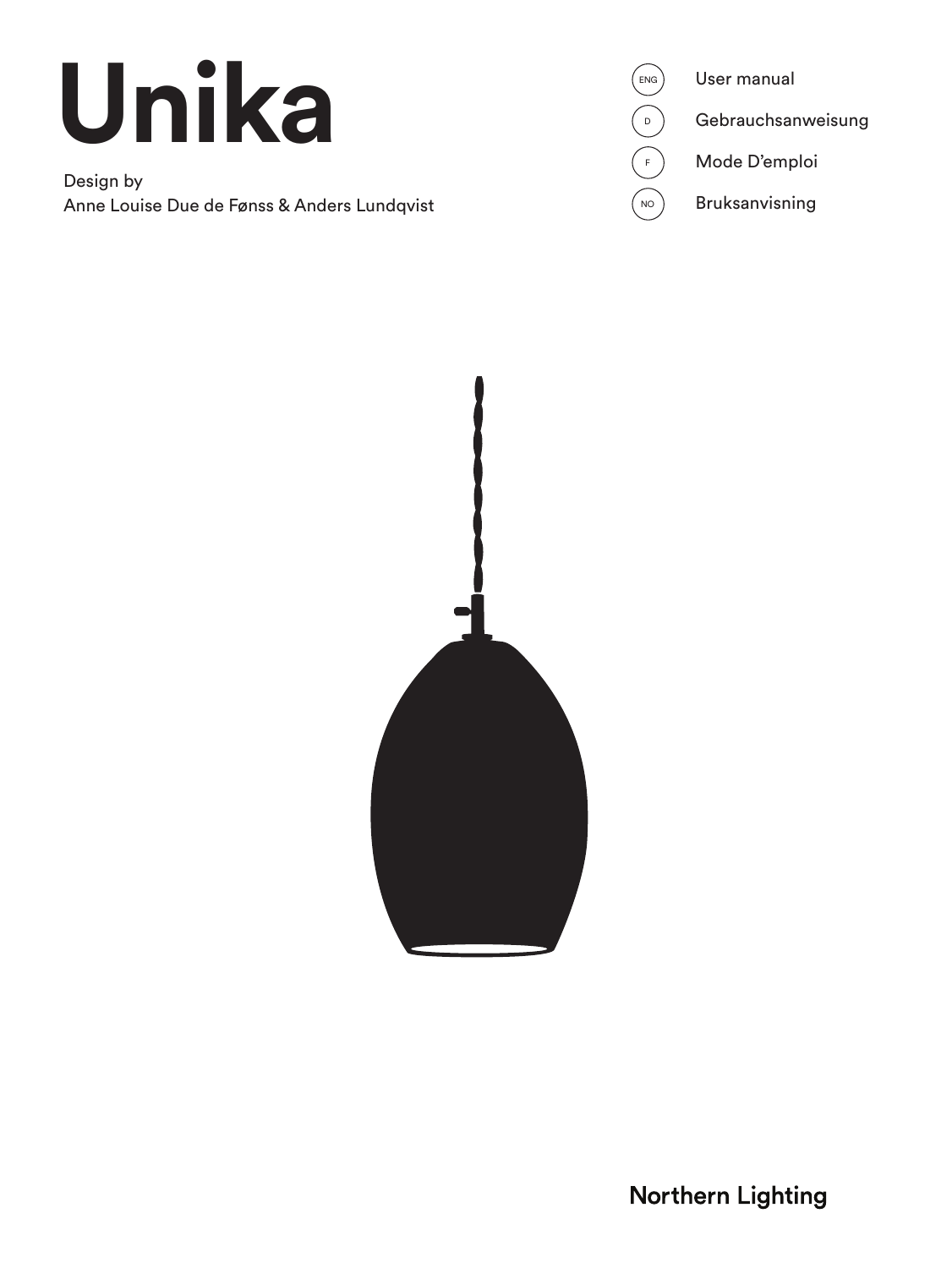# **Unika**

Design by Anne Louise Due de Fønss & Anders Lundqvist





**Northern Lighting**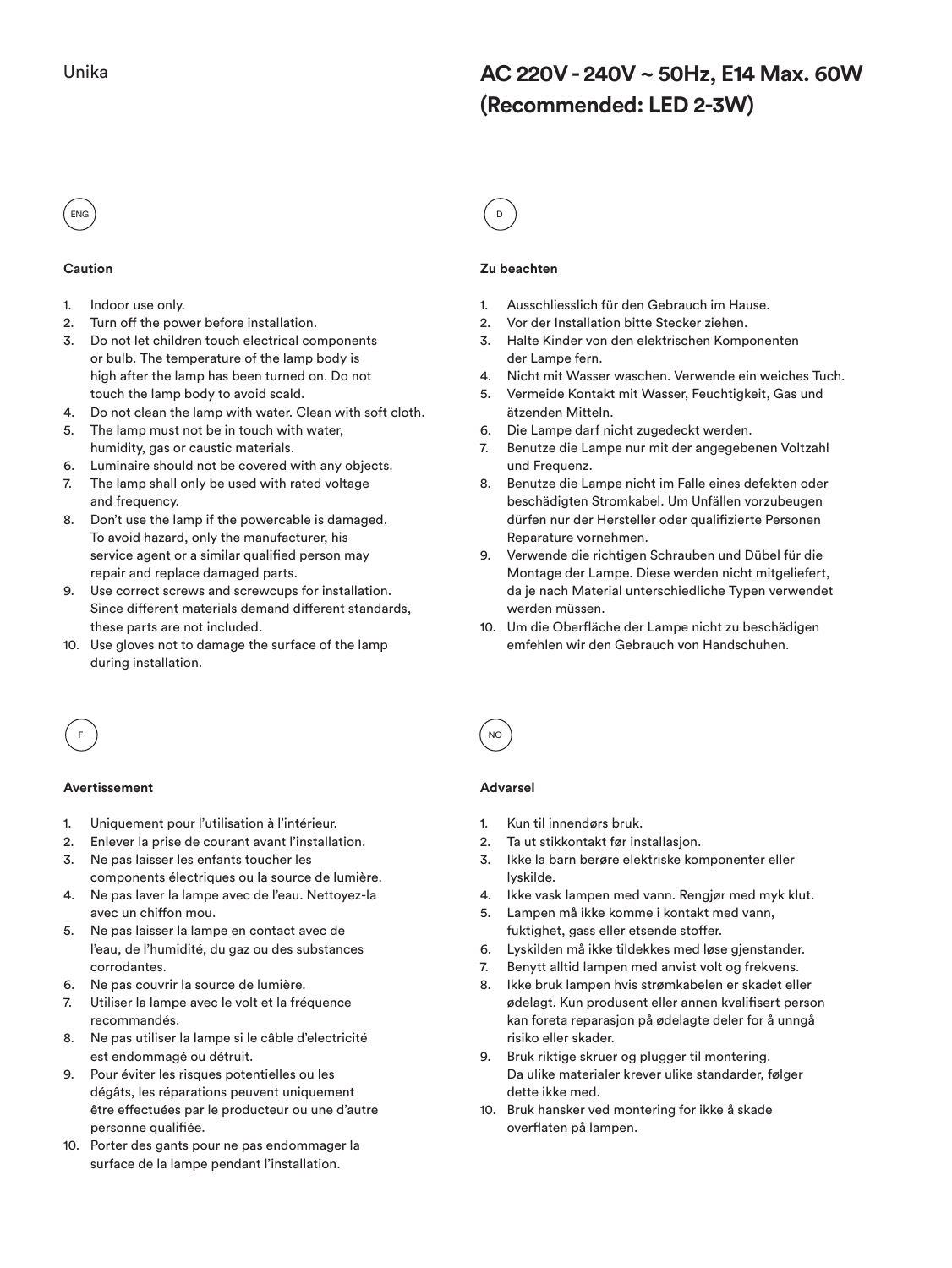# **AC 220V - 240V ~ 50Hz, E14 Max. 60W (Recommended: LED 2-3W)**



#### **Caution**

- 1. Indoor use only.
- 2. Turn off the power before installation.
- 3. Do not let children touch electrical components or bulb. The temperature of the lamp body is high after the lamp has been turned on. Do not touch the lamp body to avoid scald.
- 4. Do not clean the lamp with water. Clean with soft cloth.
- 5. The lamp must not be in touch with water, humidity, gas or caustic materials.
- 6. Luminaire should not be covered with any objects.
- 7. The lamp shall only be used with rated voltage and frequency.
- 8. Don't use the lamp if the powercable is damaged. To avoid hazard, only the manufacturer, his service agent or a similar qualified person may repair and replace damaged parts.
- 9. Use correct screws and screwcups for installation. Since different materials demand different standards, these parts are not included.
- 10. Use gloves not to damage the surface of the lamp during installation.

### **Zu beachten**

- 1. Ausschliesslich für den Gebrauch im Hause.
- 2. Vor der Installation bitte Stecker ziehen.
- 3. Halte Kinder von den elektrischen Komponenten der Lampe fern.
- 4. Nicht mit Wasser waschen. Verwende ein weiches Tuch.
- 5. Vermeide Kontakt mit Wasser, Feuchtigkeit, Gas und ätzenden Mitteln.
- 6. Die Lampe darf nicht zugedeckt werden.
- 7. Benutze die Lampe nur mit der angegebenen Voltzahl und Frequenz.
- 8. Benutze die Lampe nicht im Falle eines defekten oder beschädigten Stromkabel. Um Unfällen vorzubeugen dürfen nur der Hersteller oder qualifizierte Personen Reparature vornehmen.
- 9. Verwende die richtigen Schrauben und Dübel für die Montage der Lampe. Diese werden nicht mitgeliefert, da je nach Material unterschiedliche Typen verwendet werden müssen.
- 10. Um die Oberfläche der Lampe nicht zu beschädigen emfehlen wir den Gebrauch von Handschuhen.



#### **Avertissement**

- 1. Uniquement pour l'utilisation à l'intérieur.
- 2. Enlever la prise de courant avant l'installation. 3. Ne pas laisser les enfants toucher les
- components électriques ou la source de lumière. 4. Ne pas laver la lampe avec de l'eau. Nettoyez-la
- avec un chiffon mou.
- 5. Ne pas laisser la lampe en contact avec de l'eau, de l'humidité, du gaz ou des substances corrodantes.
- 6. Ne pas couvrir la source de lumière.
- 7. Utiliser la lampe avec le volt et la fréquence recommandés.
- 8. Ne pas utiliser la lampe si le câble d'electricité est endommagé ou détruit.
- 9. Pour éviter les risques potentielles ou les dégâts, les réparations peuvent uniquement être effectuées par le producteur ou une d'autre personne qualifiée.
- 10. Porter des gants pour ne pas endommager la surface de la lampe pendant l'installation.

# **Advarsel**

- Kun til innendørs bruk.
- 2. Ta ut stikkontakt før installasjon.
- 3. Ikke la barn berøre elektriske komponenter eller lyskilde.
- 4. Ikke vask lampen med vann. Rengjør med myk klut.
- 5. Lampen må ikke komme i kontakt med vann, fuktighet, gass eller etsende stoffer.
- 6. Lyskilden må ikke tildekkes med løse gjenstander.
- 7. Benytt alltid lampen med anvist volt og frekvens.
- 8. Ikke bruk lampen hvis strømkabelen er skadet eller ødelagt. Kun produsent eller annen kvalifisert person kan foreta reparasjon på ødelagte deler for å unngå risiko eller skader.
- 9. Bruk riktige skruer og plugger til montering. Da ulike materialer krever ulike standarder, følger dette ikke med.
- 10. Bruk hansker ved montering for ikke å skade overflaten på lampen.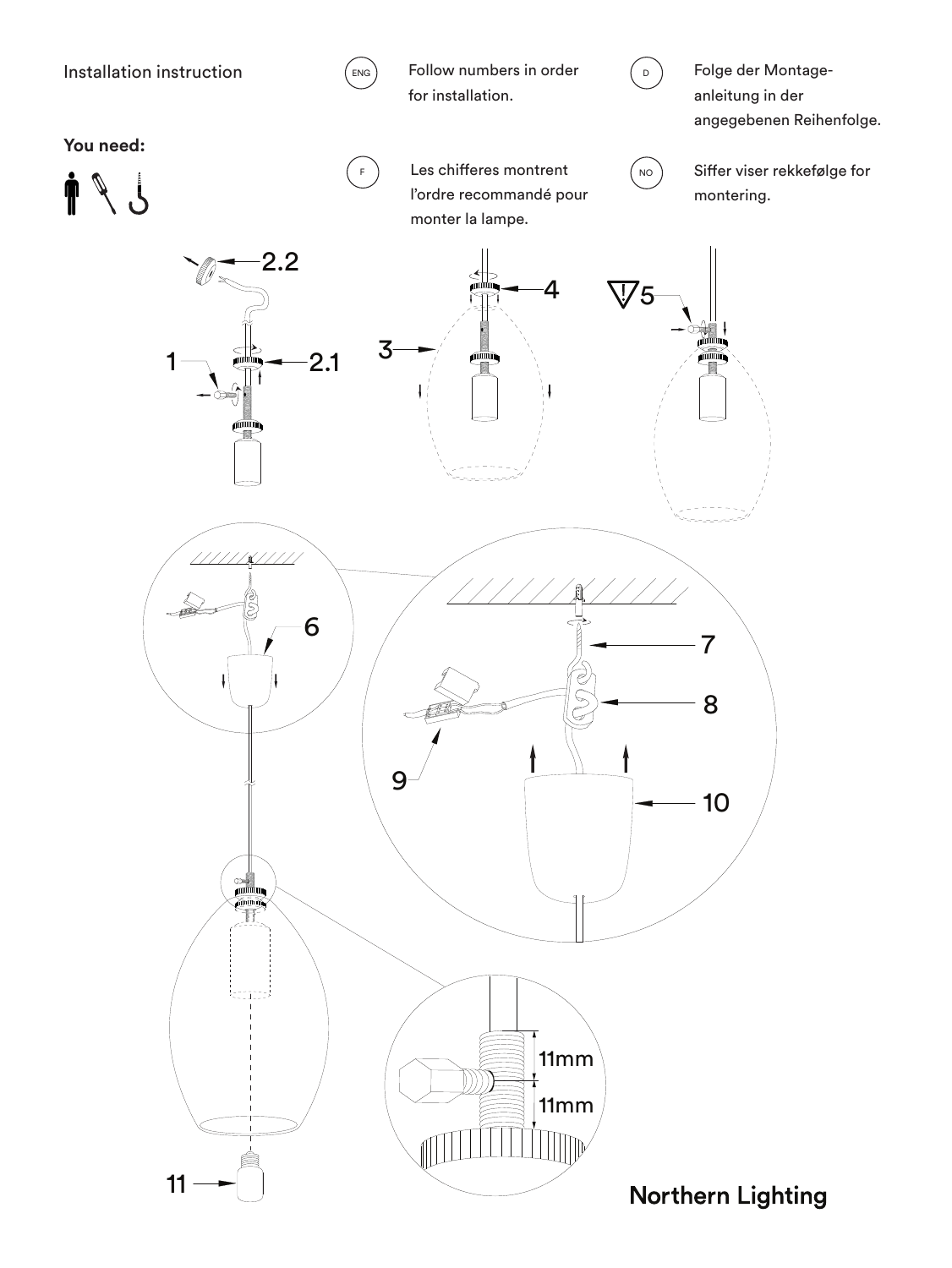

 $\left(\begin{matrix} \text{ENG} \end{matrix}\right)$  Follow numbers in order for installation.



Folge der Montageanleitung in der angegebenen Reihenfolge.

**You need:**





 $\binom{F}{r}$  Les chifferes montrent l'ordre recommandé pour monter la lampe.



Siffer viser rekkefølge for montering.